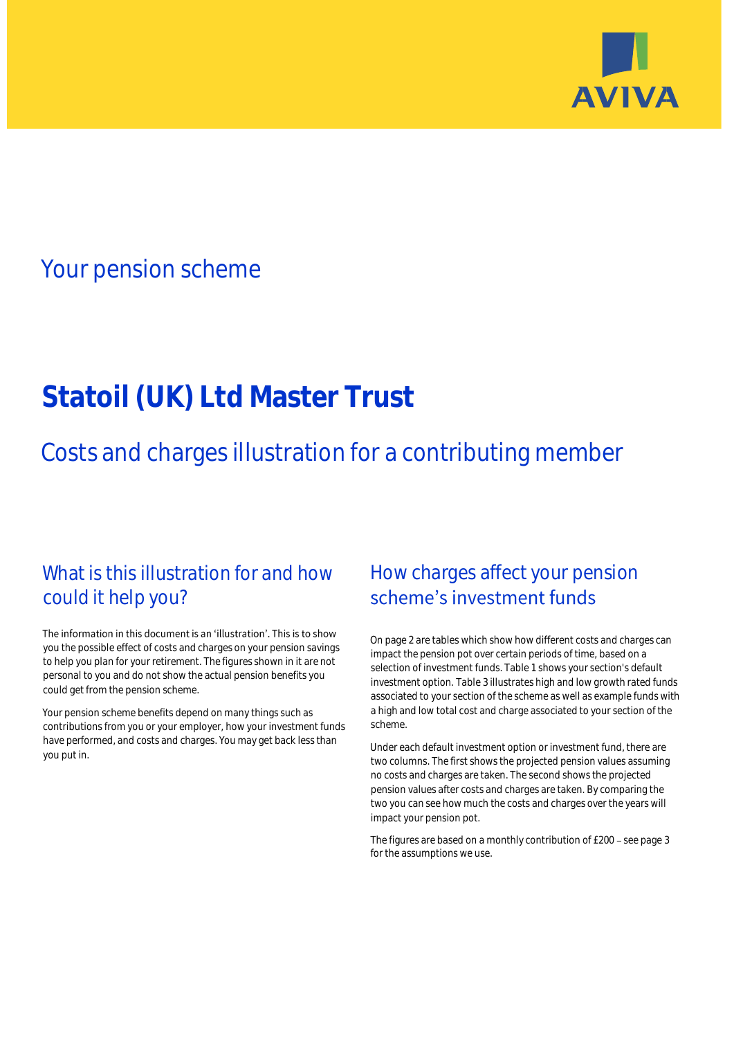

# Your pension scheme

# **Statoil (UK) Ltd Master Trust**

Costs and charges illustration for a contributing member

# What is this illustration for and how could it help you?

### The information in this document is an 'illustration'. This is to show you the possible effect of costs and charges on your pension savings to help you plan for your retirement. The figures shown in it are not personal to you and do not show the actual pension benefits you could get from the pension scheme.

Your pension scheme benefits depend on many things such as contributions from you or your employer, how your investment funds have performed, and costs and charges. You may get back less than you put in.

# How charges affect your pension scheme's investment funds

On page 2 are tables which show how different costs and charges can impact the pension pot over certain periods of time, based on a selection of investment funds. Table 1 shows your section's default investment option. Table 3 illustrates high and low growth rated funds associated to your section of the scheme as well as example funds with a high and low total cost and charge associated to your section of the scheme.

Under each default investment option or investment fund, there are two columns. The first shows the projected pension values assuming no costs and charges are taken. The second shows the projected pension values after costs and charges are taken. By comparing the two you can see how much the costs and charges over the years will impact your pension pot.

The figures are based on a monthly contribution of £200 - see page 3 for the assumptions we use.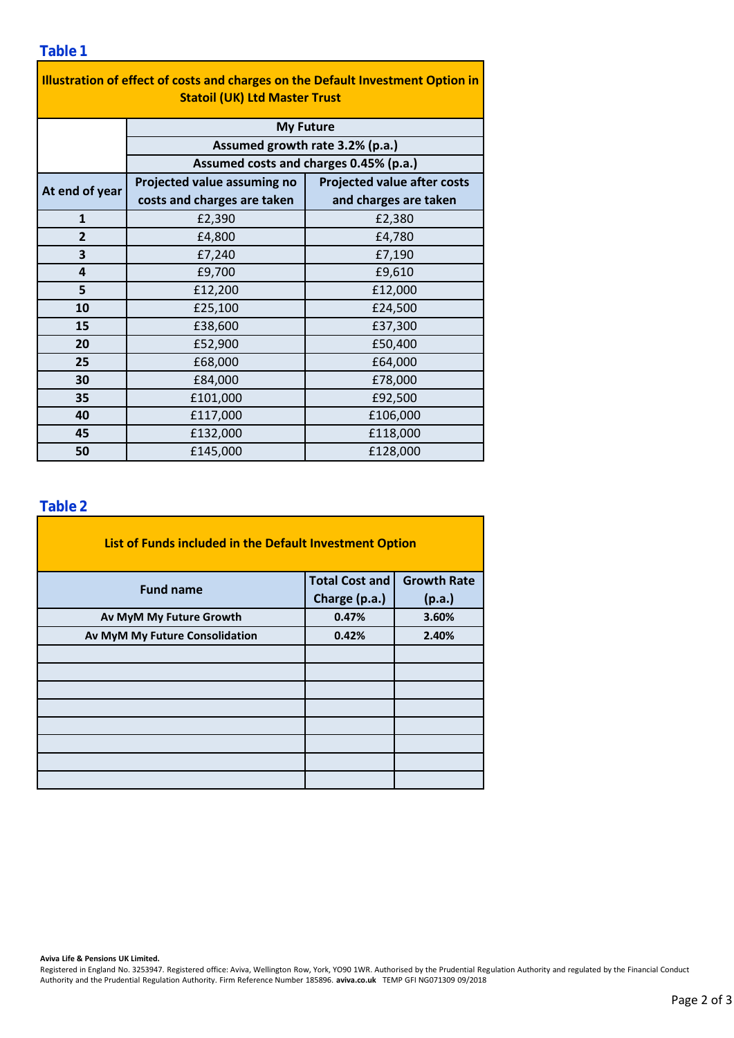### **Table 1**

| Illustration of effect of costs and charges on the Default Investment Option in<br><b>Statoil (UK) Ltd Master Trust</b> |                                                                           |                                    |  |  |  |  |  |  |
|-------------------------------------------------------------------------------------------------------------------------|---------------------------------------------------------------------------|------------------------------------|--|--|--|--|--|--|
|                                                                                                                         | <b>My Future</b>                                                          |                                    |  |  |  |  |  |  |
|                                                                                                                         | Assumed growth rate 3.2% (p.a.)<br>Assumed costs and charges 0.45% (p.a.) |                                    |  |  |  |  |  |  |
|                                                                                                                         |                                                                           |                                    |  |  |  |  |  |  |
| At end of year                                                                                                          | Projected value assuming no                                               | <b>Projected value after costs</b> |  |  |  |  |  |  |
|                                                                                                                         | costs and charges are taken                                               | and charges are taken              |  |  |  |  |  |  |
| $\mathbf{1}$                                                                                                            | £2,390                                                                    | £2,380                             |  |  |  |  |  |  |
| $\overline{2}$                                                                                                          | £4,800                                                                    | £4,780                             |  |  |  |  |  |  |
| 3                                                                                                                       | £7,240                                                                    | £7,190                             |  |  |  |  |  |  |
| 4                                                                                                                       | £9,700                                                                    | £9,610                             |  |  |  |  |  |  |
| 5                                                                                                                       | £12,200                                                                   | £12,000                            |  |  |  |  |  |  |
| 10                                                                                                                      | £25,100                                                                   | £24,500                            |  |  |  |  |  |  |
| 15                                                                                                                      | £38,600                                                                   | £37,300                            |  |  |  |  |  |  |
| 20                                                                                                                      | £52,900                                                                   | £50,400                            |  |  |  |  |  |  |
| 25                                                                                                                      | £68,000                                                                   | £64,000                            |  |  |  |  |  |  |
| 30                                                                                                                      | £84,000                                                                   | £78,000                            |  |  |  |  |  |  |
| 35                                                                                                                      | £101,000                                                                  | £92,500                            |  |  |  |  |  |  |
| 40                                                                                                                      | £117,000                                                                  | £106,000                           |  |  |  |  |  |  |
| 45                                                                                                                      | £132,000                                                                  | £118,000                           |  |  |  |  |  |  |
| 50                                                                                                                      | £145,000                                                                  | £128,000                           |  |  |  |  |  |  |

### **Table 2**

| List of Funds included in the Default Investment Option |                       |                    |
|---------------------------------------------------------|-----------------------|--------------------|
| <b>Fund name</b>                                        | <b>Total Cost and</b> | <b>Growth Rate</b> |
|                                                         | Charge (p.a.)         | (p.a.)             |
| Av MyM My Future Growth                                 | 0.47%                 | 3.60%              |
| Av MyM My Future Consolidation                          | 0.42%                 | 2.40%              |
|                                                         |                       |                    |
|                                                         |                       |                    |
|                                                         |                       |                    |
|                                                         |                       |                    |
|                                                         |                       |                    |
|                                                         |                       |                    |
|                                                         |                       |                    |
|                                                         |                       |                    |

#### **Aviva Life & Pensions UK Limited.**

Registered in England No. 3253947. Registered office: Aviva, Wellington Row, York, YO90 1WR. Authorised by the Prudential Regulation Authority and regulated by the Financial Conduct Authority and the Prudential Regulation Authority. Firm Reference Number 185896. **aviva.co.uk** TEMP GFI NG071309 09/2018